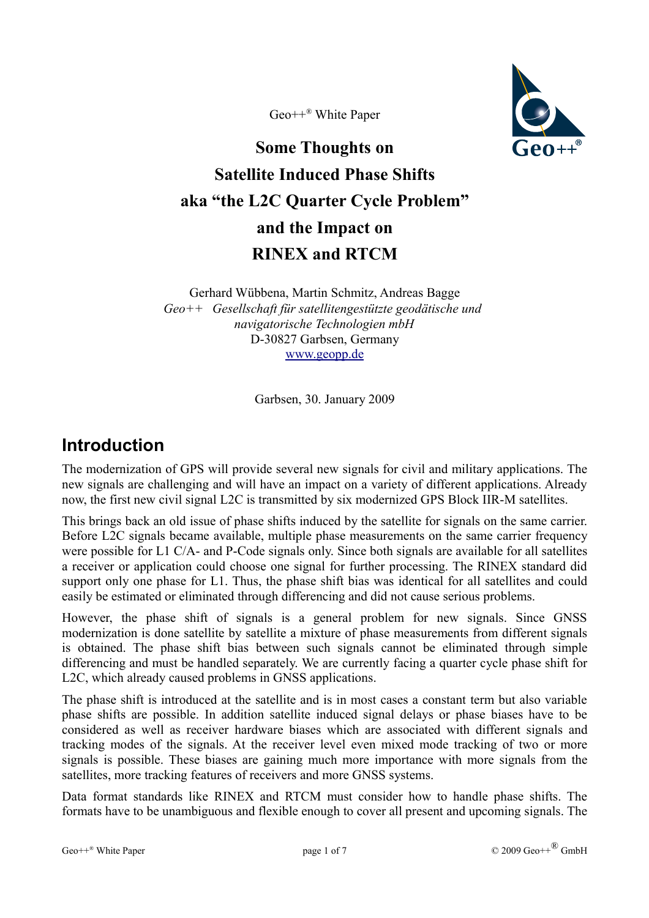Geo++® White Paper



# **Some Thoughts on Satellite Induced Phase Shifts aka "the L2C Quarter Cycle Problem" and the Impact on RINEX and RTCM**

Gerhard Wübbena, Martin Schmitz, Andreas Bagge *Geo++ Gesellschaft für satellitengestützte geodätische und navigatorische Technologien mbH* D-30827 Garbsen, Germany [www.geopp.de](http://www.geopp.de/)

Garbsen, 30. January 2009

# **Introduction**

The modernization of GPS will provide several new signals for civil and military applications. The new signals are challenging and will have an impact on a variety of different applications. Already now, the first new civil signal L2C is transmitted by six modernized GPS Block IIR-M satellites.

This brings back an old issue of phase shifts induced by the satellite for signals on the same carrier. Before L2C signals became available, multiple phase measurements on the same carrier frequency were possible for L1 C/A- and P-Code signals only. Since both signals are available for all satellites a receiver or application could choose one signal for further processing. The RINEX standard did support only one phase for L1. Thus, the phase shift bias was identical for all satellites and could easily be estimated or eliminated through differencing and did not cause serious problems.

However, the phase shift of signals is a general problem for new signals. Since GNSS modernization is done satellite by satellite a mixture of phase measurements from different signals is obtained. The phase shift bias between such signals cannot be eliminated through simple differencing and must be handled separately. We are currently facing a quarter cycle phase shift for L2C, which already caused problems in GNSS applications.

The phase shift is introduced at the satellite and is in most cases a constant term but also variable phase shifts are possible. In addition satellite induced signal delays or phase biases have to be considered as well as receiver hardware biases which are associated with different signals and tracking modes of the signals. At the receiver level even mixed mode tracking of two or more signals is possible. These biases are gaining much more importance with more signals from the satellites, more tracking features of receivers and more GNSS systems.

Data format standards like RINEX and RTCM must consider how to handle phase shifts. The formats have to be unambiguous and flexible enough to cover all present and upcoming signals. The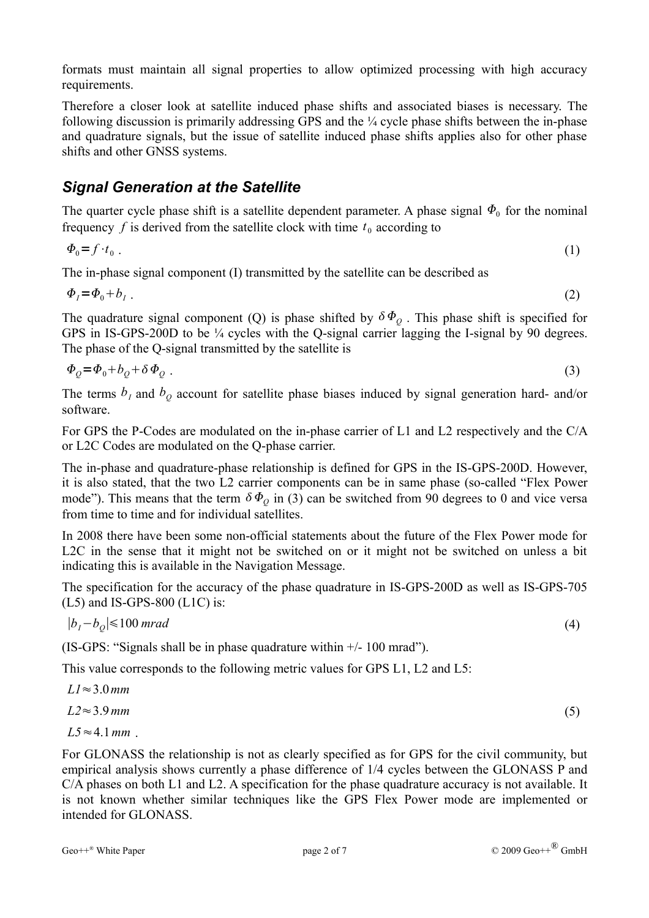formats must maintain all signal properties to allow optimized processing with high accuracy requirements.

Therefore a closer look at satellite induced phase shifts and associated biases is necessary. The following discussion is primarily addressing GPS and the ¼ cycle phase shifts between the in-phase and quadrature signals, but the issue of satellite induced phase shifts applies also for other phase shifts and other GNSS systems.

#### *Signal Generation at the Satellite*

The quarter cycle phase shift is a satellite dependent parameter. A phase signal  $\Phi_0$  for the nominal frequency  $f$  is derived from the satellite clock with time  $t_0$  according to

$$
\Phi_0 = f \cdot t_0 \tag{1}
$$

The in-phase signal component (I) transmitted by the satellite can be described as

 $\Phi_i = \Phi_0 + b_i$ .  $(2)$ 

The quadrature signal component (Q) is phase shifted by  $\delta \Phi_{Q}$ . This phase shift is specified for GPS in IS-GPS-200D to be  $\frac{1}{4}$  cycles with the Q-signal carrier lagging the I-signal by 90 degrees. The phase of the Q-signal transmitted by the satellite is

$$
\Phi_{\rho} = \Phi_{0} + b_{\rho} + \delta \Phi_{\rho} \tag{3}
$$

The terms  $b_I$  and  $b_O$  account for satellite phase biases induced by signal generation hard- and/or software.

For GPS the P-Codes are modulated on the in-phase carrier of L1 and L2 respectively and the C/A or L2C Codes are modulated on the Q-phase carrier.

The in-phase and quadrature-phase relationship is defined for GPS in the IS-GPS-200D. However, it is also stated, that the two L2 carrier components can be in same phase (so-called "Flex Power mode"). This means that the term  $\delta \Phi_0$  in (3) can be switched from 90 degrees to 0 and vice versa from time to time and for individual satellites.

In 2008 there have been some non-official statements about the future of the Flex Power mode for L2C in the sense that it might not be switched on or it might not be switched on unless a bit indicating this is available in the Navigation Message.

The specification for the accuracy of the phase quadrature in IS-GPS-200D as well as IS-GPS-705 (L5) and IS-GPS-800 (L1C) is:

$$
|b_1 - b_0| \le 100 \, mrad \tag{4}
$$

(IS-GPS: "Signals shall be in phase quadrature within +/- 100 mrad").

This value corresponds to the following metric values for GPS L1, L2 and L5:

$$
L1 \approx 3.0 \, \text{mm}
$$
\n
$$
L2 \approx 3.9 \, \text{mm}
$$
\n
$$
L5 \approx 4.1 \, \text{mm}
$$
\n
$$
(5)
$$

For GLONASS the relationship is not as clearly specified as for GPS for the civil community, but empirical analysis shows currently a phase difference of 1/4 cycles between the GLONASS P and C/A phases on both L1 and L2. A specification for the phase quadrature accuracy is not available. It is not known whether similar techniques like the GPS Flex Power mode are implemented or intended for GLONASS.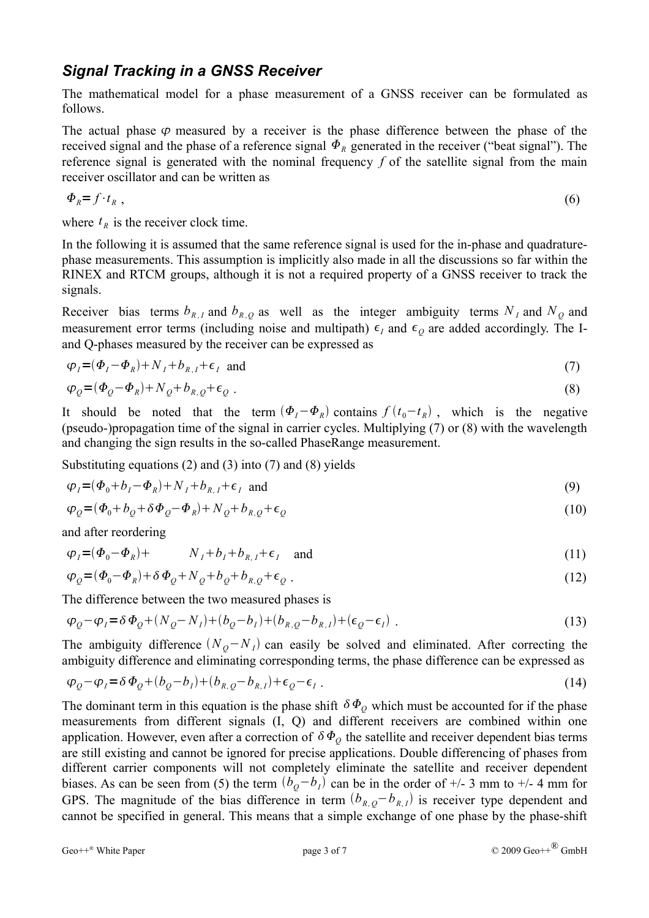#### *Signal Tracking in a GNSS Receiver*

The mathematical model for a phase measurement of a GNSS receiver can be formulated as follows.

The actual phase  $\varphi$  measured by a receiver is the phase difference between the phase of the received signal and the phase of a reference signal  $\Phi_R$  generated in the receiver ("beat signal"). The reference signal is generated with the nominal frequency *f* of the satellite signal from the main receiver oscillator and can be written as

$$
\Phi_R = f \cdot t_R \tag{6}
$$

where  $t_R$  is the receiver clock time.

In the following it is assumed that the same reference signal is used for the in-phase and quadraturephase measurements. This assumption is implicitly also made in all the discussions so far within the RINEX and RTCM groups, although it is not a required property of a GNSS receiver to track the signals.

Receiver bias terms  $b_{R,I}$  and  $b_{R,Q}$  as well as the integer ambiguity terms  $N_I$  and  $N_Q$  and measurement error terms (including noise and multipath)  $\epsilon_l$  and  $\epsilon_o$  are added accordingly. The Iand Q-phases measured by the receiver can be expressed as

$$
\varphi_I = (\varPhi_I - \varPhi_R) + N_I + b_{R,I} + \epsilon_I \quad \text{and} \tag{7}
$$

$$
\varphi_Q = (\varPhi_Q - \varPhi_R) + N_Q + b_{R,Q} + \epsilon_Q \tag{8}
$$

It should be noted that the term  $(\Phi_I - \Phi_R)$  contains  $f(t_0 - t_R)$ , which is the negative (pseudo-)propagation time of the signal in carrier cycles. Multiplying (7) or (8) with the wavelength and changing the sign results in the so-called PhaseRange measurement.

Substituting equations (2) and (3) into (7) and (8) yields

$$
\varphi_I = (\Phi_0 + b_I - \Phi_R) + N_I + b_{R,I} + \epsilon_I \text{ and } \tag{9}
$$

$$
\varphi_Q = (\varPhi_0 + b_Q + \delta \varPhi_Q - \varPhi_R) + N_Q + b_{R,Q} + \epsilon_Q \tag{10}
$$

and after reordering

$$
\varphi_I = (\Phi_0 - \Phi_R) + N_I + b_I + b_{R,I} + \epsilon_I \quad \text{and} \tag{11}
$$

$$
\varphi_Q = (\varPhi_0 - \varPhi_R) + \delta \varPhi_Q + N_Q + b_Q + b_{R,Q} + \epsilon_Q \tag{12}
$$

The difference between the two measured phases is

$$
\varphi_Q - \varphi_I = \delta \Phi_Q + (N_Q - N_I) + (b_Q - b_I) + (b_{R,Q} - b_{R,I}) + (\epsilon_Q - \epsilon_I) \tag{13}
$$

The ambiguity difference  $(N_Q - N_I)$  can easily be solved and eliminated. After correcting the ambiguity difference and eliminating corresponding terms, the phase difference can be expressed as

$$
\varphi_Q - \varphi_I = \delta \varPhi_Q + (b_Q - b_I) + (b_{R,Q} - b_{R,I}) + \epsilon_Q - \epsilon_I \tag{14}
$$

The dominant term in this equation is the phase shift  $\delta \Phi_{Q}$  which must be accounted for if the phase measurements from different signals (I, Q) and different receivers are combined within one application. However, even after a correction of  $\delta \Phi_o$  the satellite and receiver dependent bias terms are still existing and cannot be ignored for precise applications. Double differencing of phases from different carrier components will not completely eliminate the satellite and receiver dependent biases. As can be seen from (5) the term  $(b<sub>Q</sub>−b<sub>I</sub>)$  can be in the order of +/- 3 mm to +/- 4 mm for GPS. The magnitude of the bias difference in term  $(b_{R,Q}-b_{R,I})$  is receiver type dependent and cannot be specified in general. This means that a simple exchange of one phase by the phase-shift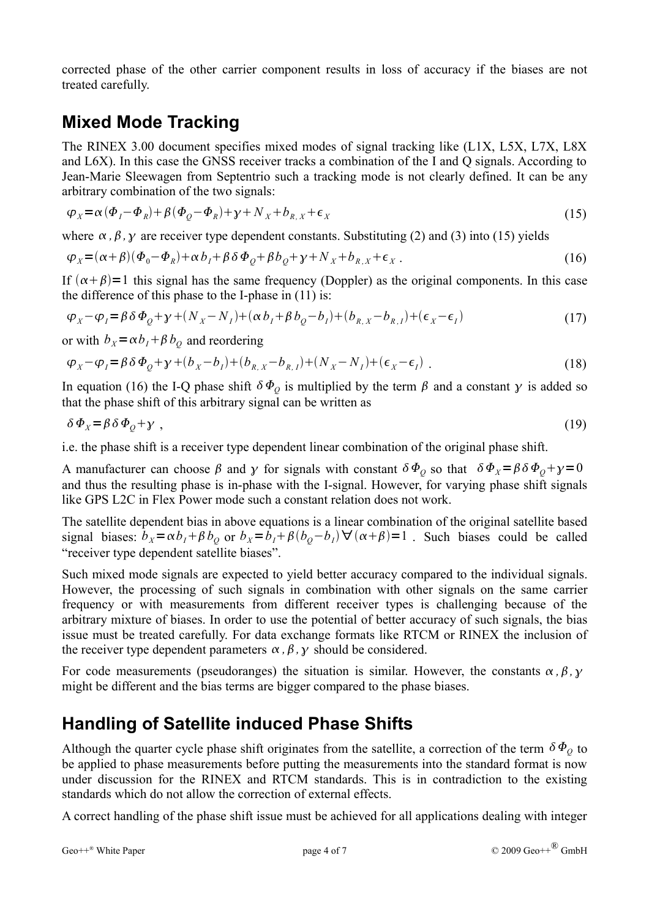corrected phase of the other carrier component results in loss of accuracy if the biases are not treated carefully.

## **Mixed Mode Tracking**

The RINEX 3.00 document specifies mixed modes of signal tracking like (L1X, L5X, L7X, L8X and L6X). In this case the GNSS receiver tracks a combination of the I and Q signals. According to Jean-Marie Sleewagen from Septentrio such a tracking mode is not clearly defined. It can be any arbitrary combination of the two signals:

$$
\varphi_X = \alpha (\Phi_I - \Phi_R) + \beta (\Phi_Q - \Phi_R) + \gamma + N_X + b_{R,X} + \epsilon_X
$$
\n(15)

where  $\alpha$ ,  $\beta$ ,  $\gamma$  are receiver type dependent constants. Substituting (2) and (3) into (15) yields

$$
\varphi_X = (\alpha + \beta)(\Phi_0 - \Phi_R) + \alpha b_I + \beta \delta \Phi_Q + \beta b_Q + \gamma + N_X + b_{R,X} + \epsilon_X \tag{16}
$$

If  $(\alpha + \beta) = 1$  this signal has the same frequency (Doppler) as the original components. In this case the difference of this phase to the I-phase in (11) is:

$$
\varphi_X - \varphi_I = \beta \delta \Phi_Q + \gamma + (N_X - N_I) + (\alpha b_I + \beta b_Q - b_I) + (b_{R,X} - b_{R,I}) + (\epsilon_X - \epsilon_I)
$$
\n(17)

or with  $b_x = \alpha b_t + \beta b_o$  and reordering

$$
\varphi_X - \varphi_I = \beta \delta \Phi_Q + \gamma + (b_X - b_I) + (b_{R,X} - b_{R,I}) + (N_X - N_I) + (\epsilon_X - \epsilon_I) \tag{18}
$$

In equation (16) the I-Q phase shift  $\delta \Phi$ <sub>o</sub> is multiplied by the term  $\beta$  and a constant  $\gamma$  is added so that the phase shift of this arbitrary signal can be written as

$$
\delta \Phi_{X} = \beta \delta \Phi_{Q} + \gamma \tag{19}
$$

i.e. the phase shift is a receiver type dependent linear combination of the original phase shift.

A manufacturer can choose  $\beta$  and  $\gamma$  for signals with constant  $\delta \Phi_0$  so that  $\delta \Phi_x = \beta \delta \Phi_0 + \gamma = 0$ and thus the resulting phase is in-phase with the I-signal. However, for varying phase shift signals like GPS L2C in Flex Power mode such a constant relation does not work.

The satellite dependent bias in above equations is a linear combination of the original satellite based signal biases:  $b_x = \alpha b_t + \beta b_0$  or  $b_x = b_t + \beta (b_0 - b_t) \forall (\alpha + \beta) = 1$ . Such biases could be called "receiver type dependent satellite biases".

Such mixed mode signals are expected to yield better accuracy compared to the individual signals. However, the processing of such signals in combination with other signals on the same carrier frequency or with measurements from different receiver types is challenging because of the arbitrary mixture of biases. In order to use the potential of better accuracy of such signals, the bias issue must be treated carefully. For data exchange formats like RTCM or RINEX the inclusion of the receiver type dependent parameters  $\alpha$ ,  $\beta$ ,  $\gamma$  should be considered.

For code measurements (pseudoranges) the situation is similar. However, the constants  $\alpha$ ,  $\beta$ ,  $\gamma$ might be different and the bias terms are bigger compared to the phase biases.

### **Handling of Satellite induced Phase Shifts**

Although the quarter cycle phase shift originates from the satellite, a correction of the term  $\delta \Phi$ <sub>o</sub> to be applied to phase measurements before putting the measurements into the standard format is now under discussion for the RINEX and RTCM standards. This is in contradiction to the existing standards which do not allow the correction of external effects.

A correct handling of the phase shift issue must be achieved for all applications dealing with integer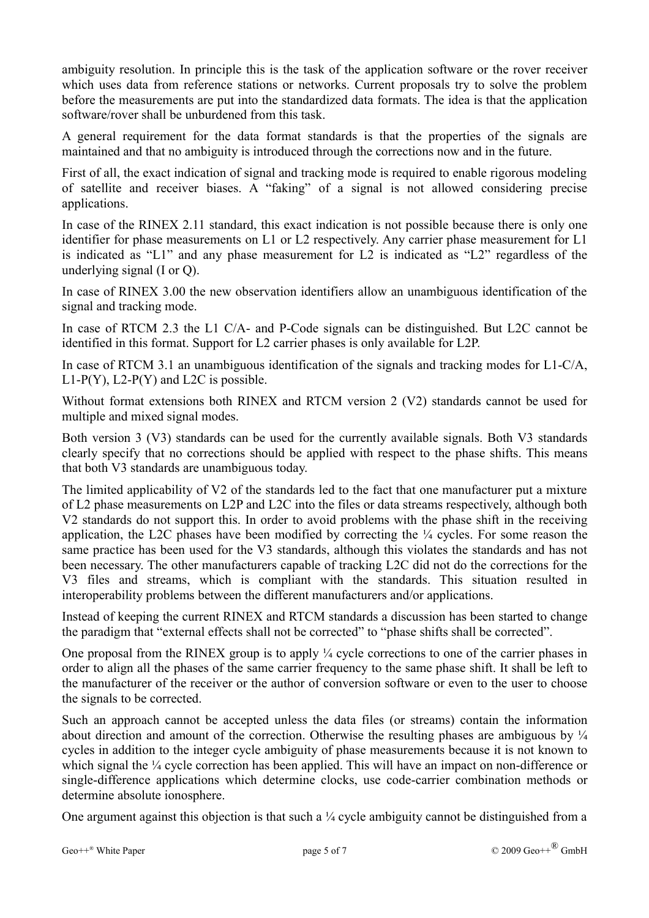ambiguity resolution. In principle this is the task of the application software or the rover receiver which uses data from reference stations or networks. Current proposals try to solve the problem before the measurements are put into the standardized data formats. The idea is that the application software/rover shall be unburdened from this task.

A general requirement for the data format standards is that the properties of the signals are maintained and that no ambiguity is introduced through the corrections now and in the future.

First of all, the exact indication of signal and tracking mode is required to enable rigorous modeling of satellite and receiver biases. A "faking" of a signal is not allowed considering precise applications.

In case of the RINEX 2.11 standard, this exact indication is not possible because there is only one identifier for phase measurements on L1 or L2 respectively. Any carrier phase measurement for L1 is indicated as "L1" and any phase measurement for L2 is indicated as "L2" regardless of the underlying signal (I or Q).

In case of RINEX 3.00 the new observation identifiers allow an unambiguous identification of the signal and tracking mode.

In case of RTCM 2.3 the L1 C/A- and P-Code signals can be distinguished. But L2C cannot be identified in this format. Support for L2 carrier phases is only available for L2P.

In case of RTCM 3.1 an unambiguous identification of the signals and tracking modes for L1-C/A,  $L1-P(Y)$ ,  $L2-P(Y)$  and  $L2C$  is possible.

Without format extensions both RINEX and RTCM version 2 (V2) standards cannot be used for multiple and mixed signal modes.

Both version 3 (V3) standards can be used for the currently available signals. Both V3 standards clearly specify that no corrections should be applied with respect to the phase shifts. This means that both V3 standards are unambiguous today.

The limited applicability of V2 of the standards led to the fact that one manufacturer put a mixture of L2 phase measurements on L2P and L2C into the files or data streams respectively, although both V2 standards do not support this. In order to avoid problems with the phase shift in the receiving application, the L2C phases have been modified by correcting the ¼ cycles. For some reason the same practice has been used for the V3 standards, although this violates the standards and has not been necessary. The other manufacturers capable of tracking L2C did not do the corrections for the V3 files and streams, which is compliant with the standards. This situation resulted in interoperability problems between the different manufacturers and/or applications.

Instead of keeping the current RINEX and RTCM standards a discussion has been started to change the paradigm that "external effects shall not be corrected" to "phase shifts shall be corrected".

One proposal from the RINEX group is to apply ¼ cycle corrections to one of the carrier phases in order to align all the phases of the same carrier frequency to the same phase shift. It shall be left to the manufacturer of the receiver or the author of conversion software or even to the user to choose the signals to be corrected.

Such an approach cannot be accepted unless the data files (or streams) contain the information about direction and amount of the correction. Otherwise the resulting phases are ambiguous by  $\frac{1}{4}$ cycles in addition to the integer cycle ambiguity of phase measurements because it is not known to which signal the  $\frac{1}{4}$  cycle correction has been applied. This will have an impact on non-difference or single-difference applications which determine clocks, use code-carrier combination methods or determine absolute ionosphere.

One argument against this objection is that such a  $\frac{1}{4}$  cycle ambiguity cannot be distinguished from a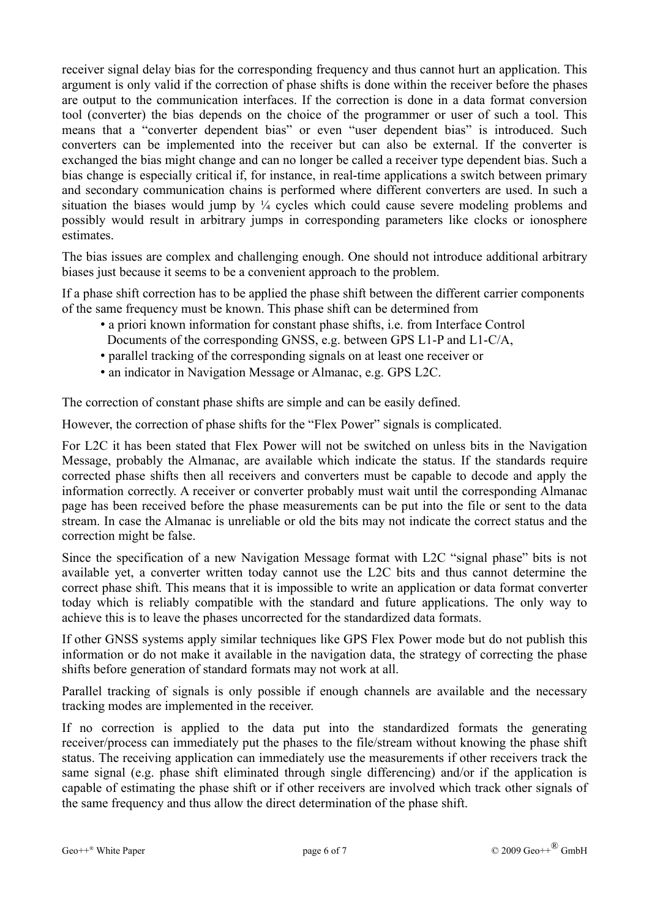receiver signal delay bias for the corresponding frequency and thus cannot hurt an application. This argument is only valid if the correction of phase shifts is done within the receiver before the phases are output to the communication interfaces. If the correction is done in a data format conversion tool (converter) the bias depends on the choice of the programmer or user of such a tool. This means that a "converter dependent bias" or even "user dependent bias" is introduced. Such converters can be implemented into the receiver but can also be external. If the converter is exchanged the bias might change and can no longer be called a receiver type dependent bias. Such a bias change is especially critical if, for instance, in real-time applications a switch between primary and secondary communication chains is performed where different converters are used. In such a situation the biases would jump by  $\frac{1}{4}$  cycles which could cause severe modeling problems and possibly would result in arbitrary jumps in corresponding parameters like clocks or ionosphere estimates.

The bias issues are complex and challenging enough. One should not introduce additional arbitrary biases just because it seems to be a convenient approach to the problem.

If a phase shift correction has to be applied the phase shift between the different carrier components of the same frequency must be known. This phase shift can be determined from

- a priori known information for constant phase shifts, i.e. from Interface Control Documents of the corresponding GNSS, e.g. between GPS L1-P and L1-C/A,
- parallel tracking of the corresponding signals on at least one receiver or
- an indicator in Navigation Message or Almanac, e.g. GPS L2C.

The correction of constant phase shifts are simple and can be easily defined.

However, the correction of phase shifts for the "Flex Power" signals is complicated.

For L2C it has been stated that Flex Power will not be switched on unless bits in the Navigation Message, probably the Almanac, are available which indicate the status. If the standards require corrected phase shifts then all receivers and converters must be capable to decode and apply the information correctly. A receiver or converter probably must wait until the corresponding Almanac page has been received before the phase measurements can be put into the file or sent to the data stream. In case the Almanac is unreliable or old the bits may not indicate the correct status and the correction might be false.

Since the specification of a new Navigation Message format with L2C "signal phase" bits is not available yet, a converter written today cannot use the L2C bits and thus cannot determine the correct phase shift. This means that it is impossible to write an application or data format converter today which is reliably compatible with the standard and future applications. The only way to achieve this is to leave the phases uncorrected for the standardized data formats.

If other GNSS systems apply similar techniques like GPS Flex Power mode but do not publish this information or do not make it available in the navigation data, the strategy of correcting the phase shifts before generation of standard formats may not work at all.

Parallel tracking of signals is only possible if enough channels are available and the necessary tracking modes are implemented in the receiver.

If no correction is applied to the data put into the standardized formats the generating receiver/process can immediately put the phases to the file/stream without knowing the phase shift status. The receiving application can immediately use the measurements if other receivers track the same signal (e.g. phase shift eliminated through single differencing) and/or if the application is capable of estimating the phase shift or if other receivers are involved which track other signals of the same frequency and thus allow the direct determination of the phase shift.